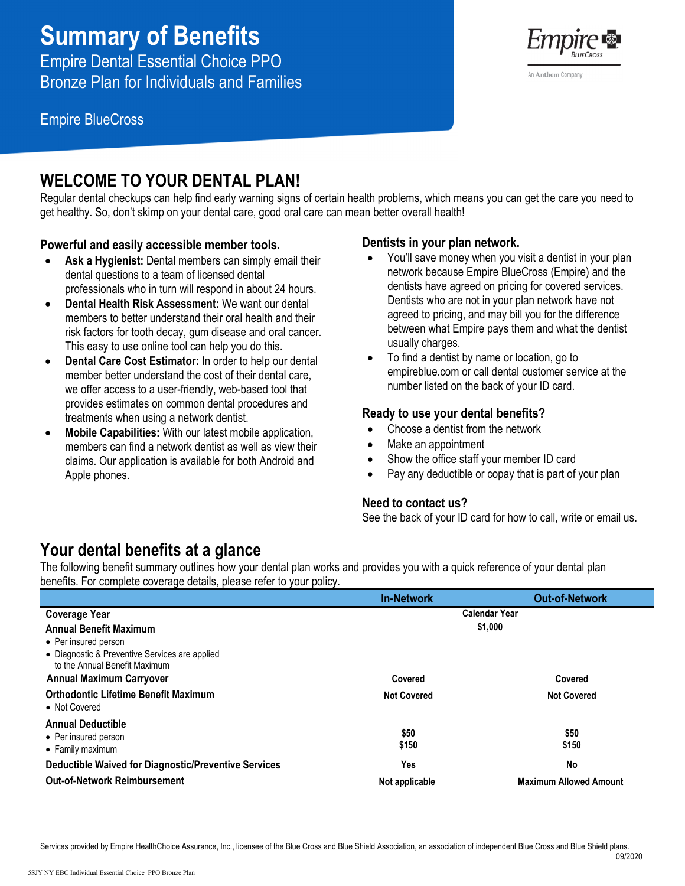# **Summary of Benefits**

Empire Dental Essential Choice PPO Bronze Plan for Individuals and Families

Empire BlueCross

**WELCOME TO YOUR DENTAL PLAN!**<br>Regular dental checkups can help find early warning signs of certain health problems, which means you can get the care you need to get healthy. So, don't skimp on your dental care, good oral care can mean better overall health!

### **Powerful and easily accessible member tools.**

- **Ask a Hygienist:** Dental members can simply email their dental questions to a team of licensed dental professionals who in turn will respond in about 24 hours.
- **Dental Health Risk Assessment:** We want our dental members to better understand their oral health and their risk factors for tooth decay, gum disease and oral cancer. This easy to use online tool can help you do this.
- **Dental Care Cost Estimator:** In order to help our dental member better understand the cost of their dental care, we offer access to a user-friendly, web-based tool that provides estimates on common dental procedures and treatments when using a network dentist.
- **Mobile Capabilities:** With our latest mobile application, members can find a network dentist as well as view their claims. Our application is available for both Android and Apple phones.

#### **Dentists in your plan network.**

- You'll save money when you visit a dentist in your plan network because Empire BlueCross (Empire) and the dentists have agreed on pricing for covered services. Dentists who are not in your plan network have not agreed to pricing, and may bill you for the difference between what Empire pays them and what the dentist usually charges.
- To find a dentist by name or location, go to empireblue.com or call dental customer service at the number listed on the back of your ID card.

#### **Ready to use your dental benefits?**

- Choose a dentist from the network
- Make an appointment
- Show the office staff your member ID card
- Pay any deductible or copay that is part of your plan

### **Need to contact us?**

See the back of your ID card for how to call, write or email us.

## **Your dental benefits at a glance**

The following benefit summary outlines how your dental plan works and provides you with a quick reference of your dental plan benefits. For complete coverage details, please refer to your policy.

|                                                             | <b>In-Network</b>  | <b>Out-of-Network</b>         |
|-------------------------------------------------------------|--------------------|-------------------------------|
| <b>Coverage Year</b>                                        |                    | <b>Calendar Year</b>          |
| <b>Annual Benefit Maximum</b>                               |                    | \$1,000                       |
| • Per insured person                                        |                    |                               |
| • Diagnostic & Preventive Services are applied              |                    |                               |
| to the Annual Benefit Maximum                               |                    |                               |
| <b>Annual Maximum Carryover</b>                             | Covered            | Covered                       |
| <b>Orthodontic Lifetime Benefit Maximum</b>                 | <b>Not Covered</b> | <b>Not Covered</b>            |
| • Not Covered                                               |                    |                               |
| <b>Annual Deductible</b>                                    |                    |                               |
| • Per insured person                                        | \$50               | \$50                          |
| • Family maximum                                            | \$150              | \$150                         |
| <b>Deductible Waived for Diagnostic/Preventive Services</b> | Yes                | No                            |
| <b>Out-of-Network Reimbursement</b>                         | Not applicable     | <b>Maximum Allowed Amount</b> |



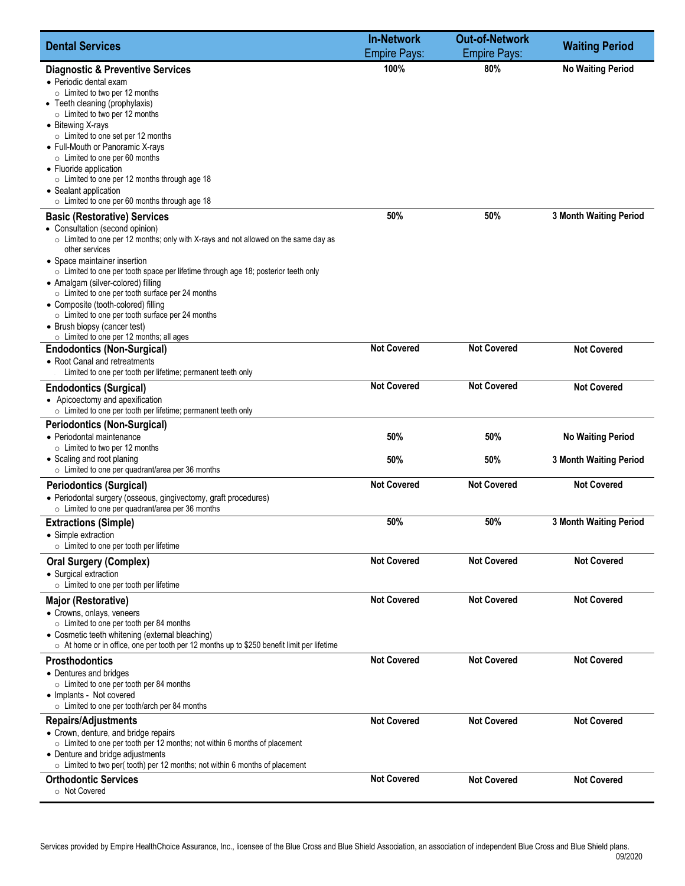| 100%<br>80%<br><b>No Waiting Period</b><br><b>Diagnostic &amp; Preventive Services</b><br>• Periodic dental exam<br>$\circ$ Limited to two per 12 months<br>• Teeth cleaning (prophylaxis)<br>$\circ$ Limited to two per 12 months<br>• Bitewing X-rays<br>$\circ$ Limited to one set per 12 months<br>• Full-Mouth or Panoramic X-rays<br>$\circ$ Limited to one per 60 months<br>• Fluoride application<br>$\circ$ Limited to one per 12 months through age 18<br>• Sealant application<br>$\circ$ Limited to one per 60 months through age 18<br>50%<br>50%<br><b>3 Month Waiting Period</b><br><b>Basic (Restorative) Services</b><br>• Consultation (second opinion)<br>o Limited to one per 12 months; only with X-rays and not allowed on the same day as<br>other services<br>• Space maintainer insertion<br>o Limited to one per tooth space per lifetime through age 18; posterior teeth only<br>• Amalgam (silver-colored) filling<br>○ Limited to one per tooth surface per 24 months<br>• Composite (tooth-colored) filling<br>o Limited to one per tooth surface per 24 months<br>• Brush biopsy (cancer test)<br>○ Limited to one per 12 months; all ages<br><b>Not Covered</b><br><b>Not Covered</b><br><b>Not Covered</b><br><b>Endodontics (Non-Surgical)</b><br>• Root Canal and retreatments<br>Limited to one per tooth per lifetime; permanent teeth only<br><b>Not Covered</b><br><b>Not Covered</b><br><b>Not Covered</b><br><b>Endodontics (Surgical)</b><br>• Apicoectomy and apexification<br>o Limited to one per tooth per lifetime; permanent teeth only<br><b>Periodontics (Non-Surgical)</b><br>• Periodontal maintenance<br>50%<br>50%<br><b>No Waiting Period</b><br>$\circ$ Limited to two per 12 months<br>• Scaling and root planing<br>50%<br>50%<br>3 Month Waiting Period<br>$\circ$ Limited to one per quadrant/area per 36 months<br><b>Not Covered</b><br><b>Not Covered</b><br><b>Not Covered</b><br><b>Periodontics (Surgical)</b><br>• Periodontal surgery (osseous, gingivectomy, graft procedures)<br>○ Limited to one per quadrant/area per 36 months<br>50%<br>50%<br><b>3 Month Waiting Period</b><br><b>Extractions (Simple)</b><br>• Simple extraction<br>$\circ$ Limited to one per tooth per lifetime<br><b>Not Covered</b><br><b>Not Covered</b><br><b>Not Covered</b><br><b>Oral Surgery (Complex)</b><br>• Surgical extraction<br>$\circ$ Limited to one per tooth per lifetime<br><b>Not Covered</b><br><b>Not Covered</b><br><b>Not Covered</b><br>Major (Restorative)<br>• Crowns, onlays, veneers<br>○ Limited to one per tooth per 84 months<br>• Cosmetic teeth whitening (external bleaching)<br>$\circ$ At home or in office, one per tooth per 12 months up to \$250 benefit limit per lifetime<br><b>Not Covered</b><br><b>Not Covered</b><br><b>Not Covered</b><br><b>Prosthodontics</b><br>• Dentures and bridges<br>$\circ$ Limited to one per tooth per 84 months<br>• Implants - Not covered<br>$\circ$ Limited to one per tooth/arch per 84 months<br><b>Repairs/Adjustments</b><br><b>Not Covered</b><br><b>Not Covered</b><br><b>Not Covered</b><br>• Crown, denture, and bridge repairs<br>○ Limited to one per tooth per 12 months; not within 6 months of placement<br>• Denture and bridge adjustments<br>○ Limited to two per(tooth) per 12 months; not within 6 months of placement<br><b>Not Covered</b><br><b>Orthodontic Services</b><br><b>Not Covered</b><br><b>Not Covered</b> | <b>Dental Services</b> | <b>In-Network</b><br><b>Empire Pays:</b> | <b>Out-of-Network</b><br><b>Empire Pays:</b> | <b>Waiting Period</b> |
|-------------------------------------------------------------------------------------------------------------------------------------------------------------------------------------------------------------------------------------------------------------------------------------------------------------------------------------------------------------------------------------------------------------------------------------------------------------------------------------------------------------------------------------------------------------------------------------------------------------------------------------------------------------------------------------------------------------------------------------------------------------------------------------------------------------------------------------------------------------------------------------------------------------------------------------------------------------------------------------------------------------------------------------------------------------------------------------------------------------------------------------------------------------------------------------------------------------------------------------------------------------------------------------------------------------------------------------------------------------------------------------------------------------------------------------------------------------------------------------------------------------------------------------------------------------------------------------------------------------------------------------------------------------------------------------------------------------------------------------------------------------------------------------------------------------------------------------------------------------------------------------------------------------------------------------------------------------------------------------------------------------------------------------------------------------------------------------------------------------------------------------------------------------------------------------------------------------------------------------------------------------------------------------------------------------------------------------------------------------------------------------------------------------------------------------------------------------------------------------------------------------------------------------------------------------------------------------------------------------------------------------------------------------------------------------------------------------------------------------------------------------------------------------------------------------------------------------------------------------------------------------------------------------------------------------------------------------------------------------------------------------------------------------------------------------------------------------------------------------------------------------------------------------------------------------------------------------------------------------------------------------------------------------------------------------------------------------------------------------------------------------------------------------------------------------------------------------------------|------------------------|------------------------------------------|----------------------------------------------|-----------------------|
|                                                                                                                                                                                                                                                                                                                                                                                                                                                                                                                                                                                                                                                                                                                                                                                                                                                                                                                                                                                                                                                                                                                                                                                                                                                                                                                                                                                                                                                                                                                                                                                                                                                                                                                                                                                                                                                                                                                                                                                                                                                                                                                                                                                                                                                                                                                                                                                                                                                                                                                                                                                                                                                                                                                                                                                                                                                                                                                                                                                                                                                                                                                                                                                                                                                                                                                                                                                                                                                                         |                        |                                          |                                              |                       |
|                                                                                                                                                                                                                                                                                                                                                                                                                                                                                                                                                                                                                                                                                                                                                                                                                                                                                                                                                                                                                                                                                                                                                                                                                                                                                                                                                                                                                                                                                                                                                                                                                                                                                                                                                                                                                                                                                                                                                                                                                                                                                                                                                                                                                                                                                                                                                                                                                                                                                                                                                                                                                                                                                                                                                                                                                                                                                                                                                                                                                                                                                                                                                                                                                                                                                                                                                                                                                                                                         |                        |                                          |                                              |                       |
|                                                                                                                                                                                                                                                                                                                                                                                                                                                                                                                                                                                                                                                                                                                                                                                                                                                                                                                                                                                                                                                                                                                                                                                                                                                                                                                                                                                                                                                                                                                                                                                                                                                                                                                                                                                                                                                                                                                                                                                                                                                                                                                                                                                                                                                                                                                                                                                                                                                                                                                                                                                                                                                                                                                                                                                                                                                                                                                                                                                                                                                                                                                                                                                                                                                                                                                                                                                                                                                                         |                        |                                          |                                              |                       |
|                                                                                                                                                                                                                                                                                                                                                                                                                                                                                                                                                                                                                                                                                                                                                                                                                                                                                                                                                                                                                                                                                                                                                                                                                                                                                                                                                                                                                                                                                                                                                                                                                                                                                                                                                                                                                                                                                                                                                                                                                                                                                                                                                                                                                                                                                                                                                                                                                                                                                                                                                                                                                                                                                                                                                                                                                                                                                                                                                                                                                                                                                                                                                                                                                                                                                                                                                                                                                                                                         |                        |                                          |                                              |                       |
|                                                                                                                                                                                                                                                                                                                                                                                                                                                                                                                                                                                                                                                                                                                                                                                                                                                                                                                                                                                                                                                                                                                                                                                                                                                                                                                                                                                                                                                                                                                                                                                                                                                                                                                                                                                                                                                                                                                                                                                                                                                                                                                                                                                                                                                                                                                                                                                                                                                                                                                                                                                                                                                                                                                                                                                                                                                                                                                                                                                                                                                                                                                                                                                                                                                                                                                                                                                                                                                                         |                        |                                          |                                              |                       |
|                                                                                                                                                                                                                                                                                                                                                                                                                                                                                                                                                                                                                                                                                                                                                                                                                                                                                                                                                                                                                                                                                                                                                                                                                                                                                                                                                                                                                                                                                                                                                                                                                                                                                                                                                                                                                                                                                                                                                                                                                                                                                                                                                                                                                                                                                                                                                                                                                                                                                                                                                                                                                                                                                                                                                                                                                                                                                                                                                                                                                                                                                                                                                                                                                                                                                                                                                                                                                                                                         |                        |                                          |                                              |                       |
|                                                                                                                                                                                                                                                                                                                                                                                                                                                                                                                                                                                                                                                                                                                                                                                                                                                                                                                                                                                                                                                                                                                                                                                                                                                                                                                                                                                                                                                                                                                                                                                                                                                                                                                                                                                                                                                                                                                                                                                                                                                                                                                                                                                                                                                                                                                                                                                                                                                                                                                                                                                                                                                                                                                                                                                                                                                                                                                                                                                                                                                                                                                                                                                                                                                                                                                                                                                                                                                                         |                        |                                          |                                              |                       |
|                                                                                                                                                                                                                                                                                                                                                                                                                                                                                                                                                                                                                                                                                                                                                                                                                                                                                                                                                                                                                                                                                                                                                                                                                                                                                                                                                                                                                                                                                                                                                                                                                                                                                                                                                                                                                                                                                                                                                                                                                                                                                                                                                                                                                                                                                                                                                                                                                                                                                                                                                                                                                                                                                                                                                                                                                                                                                                                                                                                                                                                                                                                                                                                                                                                                                                                                                                                                                                                                         |                        |                                          |                                              |                       |
|                                                                                                                                                                                                                                                                                                                                                                                                                                                                                                                                                                                                                                                                                                                                                                                                                                                                                                                                                                                                                                                                                                                                                                                                                                                                                                                                                                                                                                                                                                                                                                                                                                                                                                                                                                                                                                                                                                                                                                                                                                                                                                                                                                                                                                                                                                                                                                                                                                                                                                                                                                                                                                                                                                                                                                                                                                                                                                                                                                                                                                                                                                                                                                                                                                                                                                                                                                                                                                                                         |                        |                                          |                                              |                       |
|                                                                                                                                                                                                                                                                                                                                                                                                                                                                                                                                                                                                                                                                                                                                                                                                                                                                                                                                                                                                                                                                                                                                                                                                                                                                                                                                                                                                                                                                                                                                                                                                                                                                                                                                                                                                                                                                                                                                                                                                                                                                                                                                                                                                                                                                                                                                                                                                                                                                                                                                                                                                                                                                                                                                                                                                                                                                                                                                                                                                                                                                                                                                                                                                                                                                                                                                                                                                                                                                         |                        |                                          |                                              |                       |
|                                                                                                                                                                                                                                                                                                                                                                                                                                                                                                                                                                                                                                                                                                                                                                                                                                                                                                                                                                                                                                                                                                                                                                                                                                                                                                                                                                                                                                                                                                                                                                                                                                                                                                                                                                                                                                                                                                                                                                                                                                                                                                                                                                                                                                                                                                                                                                                                                                                                                                                                                                                                                                                                                                                                                                                                                                                                                                                                                                                                                                                                                                                                                                                                                                                                                                                                                                                                                                                                         |                        |                                          |                                              |                       |
|                                                                                                                                                                                                                                                                                                                                                                                                                                                                                                                                                                                                                                                                                                                                                                                                                                                                                                                                                                                                                                                                                                                                                                                                                                                                                                                                                                                                                                                                                                                                                                                                                                                                                                                                                                                                                                                                                                                                                                                                                                                                                                                                                                                                                                                                                                                                                                                                                                                                                                                                                                                                                                                                                                                                                                                                                                                                                                                                                                                                                                                                                                                                                                                                                                                                                                                                                                                                                                                                         |                        |                                          |                                              |                       |
|                                                                                                                                                                                                                                                                                                                                                                                                                                                                                                                                                                                                                                                                                                                                                                                                                                                                                                                                                                                                                                                                                                                                                                                                                                                                                                                                                                                                                                                                                                                                                                                                                                                                                                                                                                                                                                                                                                                                                                                                                                                                                                                                                                                                                                                                                                                                                                                                                                                                                                                                                                                                                                                                                                                                                                                                                                                                                                                                                                                                                                                                                                                                                                                                                                                                                                                                                                                                                                                                         |                        |                                          |                                              |                       |
|                                                                                                                                                                                                                                                                                                                                                                                                                                                                                                                                                                                                                                                                                                                                                                                                                                                                                                                                                                                                                                                                                                                                                                                                                                                                                                                                                                                                                                                                                                                                                                                                                                                                                                                                                                                                                                                                                                                                                                                                                                                                                                                                                                                                                                                                                                                                                                                                                                                                                                                                                                                                                                                                                                                                                                                                                                                                                                                                                                                                                                                                                                                                                                                                                                                                                                                                                                                                                                                                         |                        |                                          |                                              |                       |
|                                                                                                                                                                                                                                                                                                                                                                                                                                                                                                                                                                                                                                                                                                                                                                                                                                                                                                                                                                                                                                                                                                                                                                                                                                                                                                                                                                                                                                                                                                                                                                                                                                                                                                                                                                                                                                                                                                                                                                                                                                                                                                                                                                                                                                                                                                                                                                                                                                                                                                                                                                                                                                                                                                                                                                                                                                                                                                                                                                                                                                                                                                                                                                                                                                                                                                                                                                                                                                                                         |                        |                                          |                                              |                       |
|                                                                                                                                                                                                                                                                                                                                                                                                                                                                                                                                                                                                                                                                                                                                                                                                                                                                                                                                                                                                                                                                                                                                                                                                                                                                                                                                                                                                                                                                                                                                                                                                                                                                                                                                                                                                                                                                                                                                                                                                                                                                                                                                                                                                                                                                                                                                                                                                                                                                                                                                                                                                                                                                                                                                                                                                                                                                                                                                                                                                                                                                                                                                                                                                                                                                                                                                                                                                                                                                         |                        |                                          |                                              |                       |
|                                                                                                                                                                                                                                                                                                                                                                                                                                                                                                                                                                                                                                                                                                                                                                                                                                                                                                                                                                                                                                                                                                                                                                                                                                                                                                                                                                                                                                                                                                                                                                                                                                                                                                                                                                                                                                                                                                                                                                                                                                                                                                                                                                                                                                                                                                                                                                                                                                                                                                                                                                                                                                                                                                                                                                                                                                                                                                                                                                                                                                                                                                                                                                                                                                                                                                                                                                                                                                                                         |                        |                                          |                                              |                       |
|                                                                                                                                                                                                                                                                                                                                                                                                                                                                                                                                                                                                                                                                                                                                                                                                                                                                                                                                                                                                                                                                                                                                                                                                                                                                                                                                                                                                                                                                                                                                                                                                                                                                                                                                                                                                                                                                                                                                                                                                                                                                                                                                                                                                                                                                                                                                                                                                                                                                                                                                                                                                                                                                                                                                                                                                                                                                                                                                                                                                                                                                                                                                                                                                                                                                                                                                                                                                                                                                         |                        |                                          |                                              |                       |
|                                                                                                                                                                                                                                                                                                                                                                                                                                                                                                                                                                                                                                                                                                                                                                                                                                                                                                                                                                                                                                                                                                                                                                                                                                                                                                                                                                                                                                                                                                                                                                                                                                                                                                                                                                                                                                                                                                                                                                                                                                                                                                                                                                                                                                                                                                                                                                                                                                                                                                                                                                                                                                                                                                                                                                                                                                                                                                                                                                                                                                                                                                                                                                                                                                                                                                                                                                                                                                                                         |                        |                                          |                                              |                       |
|                                                                                                                                                                                                                                                                                                                                                                                                                                                                                                                                                                                                                                                                                                                                                                                                                                                                                                                                                                                                                                                                                                                                                                                                                                                                                                                                                                                                                                                                                                                                                                                                                                                                                                                                                                                                                                                                                                                                                                                                                                                                                                                                                                                                                                                                                                                                                                                                                                                                                                                                                                                                                                                                                                                                                                                                                                                                                                                                                                                                                                                                                                                                                                                                                                                                                                                                                                                                                                                                         |                        |                                          |                                              |                       |
|                                                                                                                                                                                                                                                                                                                                                                                                                                                                                                                                                                                                                                                                                                                                                                                                                                                                                                                                                                                                                                                                                                                                                                                                                                                                                                                                                                                                                                                                                                                                                                                                                                                                                                                                                                                                                                                                                                                                                                                                                                                                                                                                                                                                                                                                                                                                                                                                                                                                                                                                                                                                                                                                                                                                                                                                                                                                                                                                                                                                                                                                                                                                                                                                                                                                                                                                                                                                                                                                         |                        |                                          |                                              |                       |
|                                                                                                                                                                                                                                                                                                                                                                                                                                                                                                                                                                                                                                                                                                                                                                                                                                                                                                                                                                                                                                                                                                                                                                                                                                                                                                                                                                                                                                                                                                                                                                                                                                                                                                                                                                                                                                                                                                                                                                                                                                                                                                                                                                                                                                                                                                                                                                                                                                                                                                                                                                                                                                                                                                                                                                                                                                                                                                                                                                                                                                                                                                                                                                                                                                                                                                                                                                                                                                                                         |                        |                                          |                                              |                       |
|                                                                                                                                                                                                                                                                                                                                                                                                                                                                                                                                                                                                                                                                                                                                                                                                                                                                                                                                                                                                                                                                                                                                                                                                                                                                                                                                                                                                                                                                                                                                                                                                                                                                                                                                                                                                                                                                                                                                                                                                                                                                                                                                                                                                                                                                                                                                                                                                                                                                                                                                                                                                                                                                                                                                                                                                                                                                                                                                                                                                                                                                                                                                                                                                                                                                                                                                                                                                                                                                         |                        |                                          |                                              |                       |
|                                                                                                                                                                                                                                                                                                                                                                                                                                                                                                                                                                                                                                                                                                                                                                                                                                                                                                                                                                                                                                                                                                                                                                                                                                                                                                                                                                                                                                                                                                                                                                                                                                                                                                                                                                                                                                                                                                                                                                                                                                                                                                                                                                                                                                                                                                                                                                                                                                                                                                                                                                                                                                                                                                                                                                                                                                                                                                                                                                                                                                                                                                                                                                                                                                                                                                                                                                                                                                                                         |                        |                                          |                                              |                       |
|                                                                                                                                                                                                                                                                                                                                                                                                                                                                                                                                                                                                                                                                                                                                                                                                                                                                                                                                                                                                                                                                                                                                                                                                                                                                                                                                                                                                                                                                                                                                                                                                                                                                                                                                                                                                                                                                                                                                                                                                                                                                                                                                                                                                                                                                                                                                                                                                                                                                                                                                                                                                                                                                                                                                                                                                                                                                                                                                                                                                                                                                                                                                                                                                                                                                                                                                                                                                                                                                         |                        |                                          |                                              |                       |
|                                                                                                                                                                                                                                                                                                                                                                                                                                                                                                                                                                                                                                                                                                                                                                                                                                                                                                                                                                                                                                                                                                                                                                                                                                                                                                                                                                                                                                                                                                                                                                                                                                                                                                                                                                                                                                                                                                                                                                                                                                                                                                                                                                                                                                                                                                                                                                                                                                                                                                                                                                                                                                                                                                                                                                                                                                                                                                                                                                                                                                                                                                                                                                                                                                                                                                                                                                                                                                                                         |                        |                                          |                                              |                       |
|                                                                                                                                                                                                                                                                                                                                                                                                                                                                                                                                                                                                                                                                                                                                                                                                                                                                                                                                                                                                                                                                                                                                                                                                                                                                                                                                                                                                                                                                                                                                                                                                                                                                                                                                                                                                                                                                                                                                                                                                                                                                                                                                                                                                                                                                                                                                                                                                                                                                                                                                                                                                                                                                                                                                                                                                                                                                                                                                                                                                                                                                                                                                                                                                                                                                                                                                                                                                                                                                         |                        |                                          |                                              |                       |
|                                                                                                                                                                                                                                                                                                                                                                                                                                                                                                                                                                                                                                                                                                                                                                                                                                                                                                                                                                                                                                                                                                                                                                                                                                                                                                                                                                                                                                                                                                                                                                                                                                                                                                                                                                                                                                                                                                                                                                                                                                                                                                                                                                                                                                                                                                                                                                                                                                                                                                                                                                                                                                                                                                                                                                                                                                                                                                                                                                                                                                                                                                                                                                                                                                                                                                                                                                                                                                                                         |                        |                                          |                                              |                       |
|                                                                                                                                                                                                                                                                                                                                                                                                                                                                                                                                                                                                                                                                                                                                                                                                                                                                                                                                                                                                                                                                                                                                                                                                                                                                                                                                                                                                                                                                                                                                                                                                                                                                                                                                                                                                                                                                                                                                                                                                                                                                                                                                                                                                                                                                                                                                                                                                                                                                                                                                                                                                                                                                                                                                                                                                                                                                                                                                                                                                                                                                                                                                                                                                                                                                                                                                                                                                                                                                         |                        |                                          |                                              |                       |
|                                                                                                                                                                                                                                                                                                                                                                                                                                                                                                                                                                                                                                                                                                                                                                                                                                                                                                                                                                                                                                                                                                                                                                                                                                                                                                                                                                                                                                                                                                                                                                                                                                                                                                                                                                                                                                                                                                                                                                                                                                                                                                                                                                                                                                                                                                                                                                                                                                                                                                                                                                                                                                                                                                                                                                                                                                                                                                                                                                                                                                                                                                                                                                                                                                                                                                                                                                                                                                                                         |                        |                                          |                                              |                       |
|                                                                                                                                                                                                                                                                                                                                                                                                                                                                                                                                                                                                                                                                                                                                                                                                                                                                                                                                                                                                                                                                                                                                                                                                                                                                                                                                                                                                                                                                                                                                                                                                                                                                                                                                                                                                                                                                                                                                                                                                                                                                                                                                                                                                                                                                                                                                                                                                                                                                                                                                                                                                                                                                                                                                                                                                                                                                                                                                                                                                                                                                                                                                                                                                                                                                                                                                                                                                                                                                         |                        |                                          |                                              |                       |
|                                                                                                                                                                                                                                                                                                                                                                                                                                                                                                                                                                                                                                                                                                                                                                                                                                                                                                                                                                                                                                                                                                                                                                                                                                                                                                                                                                                                                                                                                                                                                                                                                                                                                                                                                                                                                                                                                                                                                                                                                                                                                                                                                                                                                                                                                                                                                                                                                                                                                                                                                                                                                                                                                                                                                                                                                                                                                                                                                                                                                                                                                                                                                                                                                                                                                                                                                                                                                                                                         |                        |                                          |                                              |                       |
|                                                                                                                                                                                                                                                                                                                                                                                                                                                                                                                                                                                                                                                                                                                                                                                                                                                                                                                                                                                                                                                                                                                                                                                                                                                                                                                                                                                                                                                                                                                                                                                                                                                                                                                                                                                                                                                                                                                                                                                                                                                                                                                                                                                                                                                                                                                                                                                                                                                                                                                                                                                                                                                                                                                                                                                                                                                                                                                                                                                                                                                                                                                                                                                                                                                                                                                                                                                                                                                                         |                        |                                          |                                              |                       |
|                                                                                                                                                                                                                                                                                                                                                                                                                                                                                                                                                                                                                                                                                                                                                                                                                                                                                                                                                                                                                                                                                                                                                                                                                                                                                                                                                                                                                                                                                                                                                                                                                                                                                                                                                                                                                                                                                                                                                                                                                                                                                                                                                                                                                                                                                                                                                                                                                                                                                                                                                                                                                                                                                                                                                                                                                                                                                                                                                                                                                                                                                                                                                                                                                                                                                                                                                                                                                                                                         |                        |                                          |                                              |                       |
|                                                                                                                                                                                                                                                                                                                                                                                                                                                                                                                                                                                                                                                                                                                                                                                                                                                                                                                                                                                                                                                                                                                                                                                                                                                                                                                                                                                                                                                                                                                                                                                                                                                                                                                                                                                                                                                                                                                                                                                                                                                                                                                                                                                                                                                                                                                                                                                                                                                                                                                                                                                                                                                                                                                                                                                                                                                                                                                                                                                                                                                                                                                                                                                                                                                                                                                                                                                                                                                                         |                        |                                          |                                              |                       |
|                                                                                                                                                                                                                                                                                                                                                                                                                                                                                                                                                                                                                                                                                                                                                                                                                                                                                                                                                                                                                                                                                                                                                                                                                                                                                                                                                                                                                                                                                                                                                                                                                                                                                                                                                                                                                                                                                                                                                                                                                                                                                                                                                                                                                                                                                                                                                                                                                                                                                                                                                                                                                                                                                                                                                                                                                                                                                                                                                                                                                                                                                                                                                                                                                                                                                                                                                                                                                                                                         |                        |                                          |                                              |                       |
|                                                                                                                                                                                                                                                                                                                                                                                                                                                                                                                                                                                                                                                                                                                                                                                                                                                                                                                                                                                                                                                                                                                                                                                                                                                                                                                                                                                                                                                                                                                                                                                                                                                                                                                                                                                                                                                                                                                                                                                                                                                                                                                                                                                                                                                                                                                                                                                                                                                                                                                                                                                                                                                                                                                                                                                                                                                                                                                                                                                                                                                                                                                                                                                                                                                                                                                                                                                                                                                                         |                        |                                          |                                              |                       |
|                                                                                                                                                                                                                                                                                                                                                                                                                                                                                                                                                                                                                                                                                                                                                                                                                                                                                                                                                                                                                                                                                                                                                                                                                                                                                                                                                                                                                                                                                                                                                                                                                                                                                                                                                                                                                                                                                                                                                                                                                                                                                                                                                                                                                                                                                                                                                                                                                                                                                                                                                                                                                                                                                                                                                                                                                                                                                                                                                                                                                                                                                                                                                                                                                                                                                                                                                                                                                                                                         |                        |                                          |                                              |                       |
|                                                                                                                                                                                                                                                                                                                                                                                                                                                                                                                                                                                                                                                                                                                                                                                                                                                                                                                                                                                                                                                                                                                                                                                                                                                                                                                                                                                                                                                                                                                                                                                                                                                                                                                                                                                                                                                                                                                                                                                                                                                                                                                                                                                                                                                                                                                                                                                                                                                                                                                                                                                                                                                                                                                                                                                                                                                                                                                                                                                                                                                                                                                                                                                                                                                                                                                                                                                                                                                                         |                        |                                          |                                              |                       |
|                                                                                                                                                                                                                                                                                                                                                                                                                                                                                                                                                                                                                                                                                                                                                                                                                                                                                                                                                                                                                                                                                                                                                                                                                                                                                                                                                                                                                                                                                                                                                                                                                                                                                                                                                                                                                                                                                                                                                                                                                                                                                                                                                                                                                                                                                                                                                                                                                                                                                                                                                                                                                                                                                                                                                                                                                                                                                                                                                                                                                                                                                                                                                                                                                                                                                                                                                                                                                                                                         |                        |                                          |                                              |                       |
|                                                                                                                                                                                                                                                                                                                                                                                                                                                                                                                                                                                                                                                                                                                                                                                                                                                                                                                                                                                                                                                                                                                                                                                                                                                                                                                                                                                                                                                                                                                                                                                                                                                                                                                                                                                                                                                                                                                                                                                                                                                                                                                                                                                                                                                                                                                                                                                                                                                                                                                                                                                                                                                                                                                                                                                                                                                                                                                                                                                                                                                                                                                                                                                                                                                                                                                                                                                                                                                                         |                        |                                          |                                              |                       |
|                                                                                                                                                                                                                                                                                                                                                                                                                                                                                                                                                                                                                                                                                                                                                                                                                                                                                                                                                                                                                                                                                                                                                                                                                                                                                                                                                                                                                                                                                                                                                                                                                                                                                                                                                                                                                                                                                                                                                                                                                                                                                                                                                                                                                                                                                                                                                                                                                                                                                                                                                                                                                                                                                                                                                                                                                                                                                                                                                                                                                                                                                                                                                                                                                                                                                                                                                                                                                                                                         |                        |                                          |                                              |                       |
|                                                                                                                                                                                                                                                                                                                                                                                                                                                                                                                                                                                                                                                                                                                                                                                                                                                                                                                                                                                                                                                                                                                                                                                                                                                                                                                                                                                                                                                                                                                                                                                                                                                                                                                                                                                                                                                                                                                                                                                                                                                                                                                                                                                                                                                                                                                                                                                                                                                                                                                                                                                                                                                                                                                                                                                                                                                                                                                                                                                                                                                                                                                                                                                                                                                                                                                                                                                                                                                                         |                        |                                          |                                              |                       |
|                                                                                                                                                                                                                                                                                                                                                                                                                                                                                                                                                                                                                                                                                                                                                                                                                                                                                                                                                                                                                                                                                                                                                                                                                                                                                                                                                                                                                                                                                                                                                                                                                                                                                                                                                                                                                                                                                                                                                                                                                                                                                                                                                                                                                                                                                                                                                                                                                                                                                                                                                                                                                                                                                                                                                                                                                                                                                                                                                                                                                                                                                                                                                                                                                                                                                                                                                                                                                                                                         |                        |                                          |                                              |                       |
|                                                                                                                                                                                                                                                                                                                                                                                                                                                                                                                                                                                                                                                                                                                                                                                                                                                                                                                                                                                                                                                                                                                                                                                                                                                                                                                                                                                                                                                                                                                                                                                                                                                                                                                                                                                                                                                                                                                                                                                                                                                                                                                                                                                                                                                                                                                                                                                                                                                                                                                                                                                                                                                                                                                                                                                                                                                                                                                                                                                                                                                                                                                                                                                                                                                                                                                                                                                                                                                                         | o Not Covered          |                                          |                                              |                       |